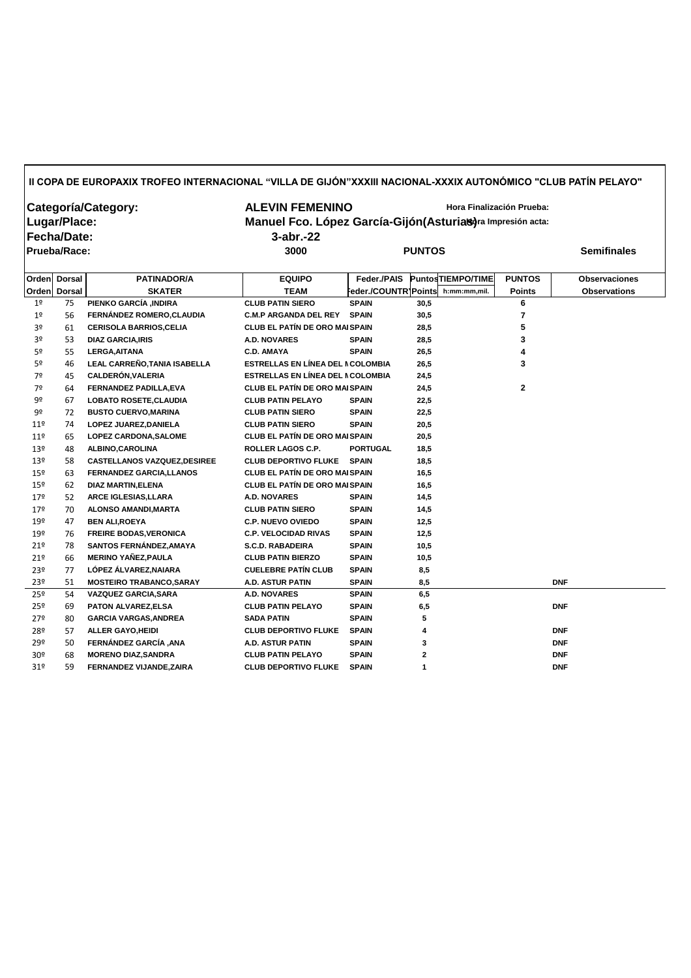## **II COPA DE EUROPA XIX TROFEO INTERNACIONAL "VILLA DE GIJÓN" XXXIII NACIONAL-XXXIX AUTONÓMICO "CLUB PATÍN PELAYO"**

| Categoría/Category: | <b>ALEVIN FEMENINO</b>                                       | Hora Finalización Prueba: |                    |  |  |  |
|---------------------|--------------------------------------------------------------|---------------------------|--------------------|--|--|--|
| Lugar/Place:        | Manuel Fco. López García-Gijón (Asturias) ra Impresión acta: |                           |                    |  |  |  |
| Fecha/Date:         | $3$ -abr.-22                                                 |                           |                    |  |  |  |
| <b>Prueba/Race:</b> | 3000                                                         | <b>PUNTOS</b>             | <b>Semifinales</b> |  |  |  |

|                 | Orden Dorsal  | <b>PATINADOR/A</b>                  | <b>EQUIPO</b>                         | Feder./PAIS          |                         | <b>PuntosTIEMPO/TIME</b> | <b>PUNTOS</b>  | <b>Observaciones</b> |
|-----------------|---------------|-------------------------------------|---------------------------------------|----------------------|-------------------------|--------------------------|----------------|----------------------|
| Orden           | <b>Dorsal</b> | <b>SKATER</b>                       | <b>TEAM</b>                           | Feder./COUNTR Points |                         | h:mm:mm,mil.             | <b>Points</b>  | <b>Observations</b>  |
| 1 <sup>°</sup>  | 75            | PIENKO GARCÍA ,INDIRA               | <b>CLUB PATIN SIERO</b>               | <b>SPAIN</b>         | 30,5                    |                          | 6              |                      |
| 1 <sup>o</sup>  | 56            | FERNÁNDEZ ROMERO, CLAUDIA           | <b>C.M.P ARGANDA DEL REY</b>          | <b>SPAIN</b>         | 30,5                    |                          | $\overline{7}$ |                      |
| 3º              | 61            | <b>CERISOLA BARRIOS, CELIA</b>      | <b>CLUB EL PATÍN DE ORO MAI SPAIN</b> |                      | 28,5                    |                          | 5              |                      |
| 3º              | 53            | <b>DIAZ GARCIA, IRIS</b>            | <b>A.D. NOVARES</b>                   | <b>SPAIN</b>         | 28,5                    |                          | 3              |                      |
| 5º              | 55            | <b>LERGA, AITANA</b>                | <b>C.D. AMAYA</b>                     | <b>SPAIN</b>         | 26,5                    |                          | 4              |                      |
| 5 <sup>o</sup>  | 46            | LEAL CARREÑO, TANIA ISABELLA        | ESTRELLAS EN LÍNEA DEL NCOLOMBIA      |                      | 26,5                    |                          | 3              |                      |
| 7º              | 45            | <b>CALDERÓN, VALERIA</b>            | ESTRELLAS EN LÍNEA DEL NCOLOMBIA      |                      | 24,5                    |                          |                |                      |
| 7º              | 64            | FERNANDEZ PADILLA, EVA              | <b>CLUB EL PATÍN DE ORO MAI SPAIN</b> |                      | 24,5                    |                          | $\mathbf 2$    |                      |
| 9º              | 67            | <b>LOBATO ROSETE, CLAUDIA</b>       | <b>CLUB PATIN PELAYO</b>              | <b>SPAIN</b>         | 22,5                    |                          |                |                      |
| 9º              | 72            | <b>BUSTO CUERVO, MARINA</b>         | <b>CLUB PATIN SIERO</b>               | <b>SPAIN</b>         | 22,5                    |                          |                |                      |
| 11 <sup>°</sup> | 74            | LOPEZ JUAREZ, DANIELA               | <b>CLUB PATIN SIERO</b>               | <b>SPAIN</b>         | 20,5                    |                          |                |                      |
| 11 <sup>°</sup> | 65            | LOPEZ CARDONA, SALOME               | <b>CLUB EL PATÍN DE ORO MAI SPAIN</b> |                      | 20,5                    |                          |                |                      |
| 13º             | 48            | ALBINO, CAROLINA                    | ROLLER LAGOS C.P.                     | <b>PORTUGAL</b>      | 18,5                    |                          |                |                      |
| 13º             | 58            | <b>CASTELLANOS VAZQUEZ, DESIREE</b> | <b>CLUB DEPORTIVO FLUKE</b>           | <b>SPAIN</b>         | 18,5                    |                          |                |                      |
| 15º             | 63            | <b>FERNANDEZ GARCIA, LLANOS</b>     | <b>CLUB EL PATÍN DE ORO MAI SPAIN</b> |                      | 16,5                    |                          |                |                      |
| $15^{\circ}$    | 62            | <b>DIAZ MARTIN, ELENA</b>           | <b>CLUB EL PATÍN DE ORO MAI SPAIN</b> |                      | 16,5                    |                          |                |                      |
| 179             | 52            | ARCE IGLESIAS, LLARA                | <b>A.D. NOVARES</b>                   | <b>SPAIN</b>         | 14,5                    |                          |                |                      |
| 179             | 70            | ALONSO AMANDI, MARTA                | <b>CLUB PATIN SIERO</b>               | <b>SPAIN</b>         | 14,5                    |                          |                |                      |
| 19º             | 47            | <b>BEN ALI, ROEYA</b>               | <b>C.P. NUEVO OVIEDO</b>              | <b>SPAIN</b>         | 12,5                    |                          |                |                      |
| 19º             | 76            | <b>FREIRE BODAS, VERONICA</b>       | <b>C.P. VELOCIDAD RIVAS</b>           | <b>SPAIN</b>         | 12,5                    |                          |                |                      |
| 21°             | 78            | SANTOS FERNÁNDEZ, AMAYA             | <b>S.C.D. RABADEIRA</b>               | <b>SPAIN</b>         | 10,5                    |                          |                |                      |
| 21°             | 66            | <b>MERINO YAÑEZ, PAULA</b>          | <b>CLUB PATIN BIERZO</b>              | <b>SPAIN</b>         | 10,5                    |                          |                |                      |
| 23º             | 77            | LÓPEZ ÁLVAREZ, NAIARA               | <b>CUELEBRE PATÍN CLUB</b>            | <b>SPAIN</b>         | 8,5                     |                          |                |                      |
| 23º             | 51            | <b>MOSTEIRO TRABANCO, SARAY</b>     | <b>A.D. ASTUR PATIN</b>               | <b>SPAIN</b>         | 8,5                     |                          |                | <b>DNF</b>           |
| 25º             | 54            | <b>VAZQUEZ GARCIA, SARA</b>         | <b>A.D. NOVARES</b>                   | <b>SPAIN</b>         | 6,5                     |                          |                |                      |
| 25º             | 69            | PATON ALVAREZ, ELSA                 | <b>CLUB PATIN PELAYO</b>              | <b>SPAIN</b>         | 6,5                     |                          |                | <b>DNF</b>           |
| 279             | 80            | <b>GARCIA VARGAS, ANDREA</b>        | <b>SADA PATIN</b>                     | <b>SPAIN</b>         | 5                       |                          |                |                      |
| 28º             | 57            | <b>ALLER GAYO, HEIDI</b>            | <b>CLUB DEPORTIVO FLUKE</b>           | <b>SPAIN</b>         | 4                       |                          |                | <b>DNF</b>           |
| 29º             | 50            | FERNÁNDEZ GARCÍA, ANA               | A.D. ASTUR PATIN                      | <b>SPAIN</b>         | 3                       |                          |                | <b>DNF</b>           |
| 30 <sup>o</sup> | 68            | <b>MORENO DIAZ, SANDRA</b>          | <b>CLUB PATIN PELAYO</b>              | <b>SPAIN</b>         | $\overline{\mathbf{2}}$ |                          |                | <b>DNF</b>           |
| 31 <sup>o</sup> | 59            | FERNANDEZ VIJANDE, ZAIRA            | <b>CLUB DEPORTIVO FLUKE</b>           | <b>SPAIN</b>         | 1                       |                          |                | <b>DNF</b>           |